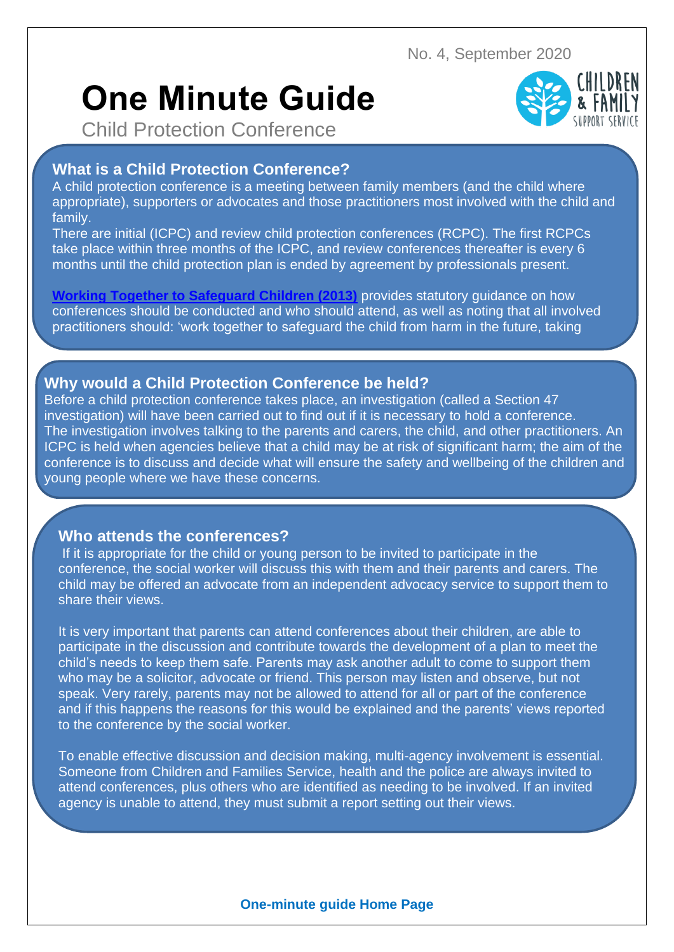No. 4, September 2020

# **One Minute Guide**



Child Protection Conference

# **What is a Child Protection Conference?**

A child protection conference is a meeting between family members (and the child where appropriate), supporters or advocates and those practitioners most involved with the child and family.

There are initial (ICPC) and review child protection conferences (RCPC). The first RCPCs take place within three months of the ICPC, and review conferences thereafter is every 6 months until the child protection plan is ended by agreement by professionals present.

**[Working Together to Safeguard Children \(2013\)](http://www.workingtogetheronline.co.uk/chapters/chapter_one.html#flow_four)** provides statutory guidance on how conferences should be conducted and who should attend, as well as noting that all involved practitioners should: 'work together to safeguard the child from harm in the future, taking

## **Why would a Child Protection Conference be held?**

timely, effective action according to the plan agreed.'

Before a child protection conference takes place, an investigation (called a Section 47 investigation) will have been carried out to find out if it is necessary to hold a conference. The investigation involves talking to the parents and carers, the child, and other practitioners. An ICPC is held when agencies believe that a child may be at risk of significant harm; the aim of the conference is to discuss and decide what will ensure the safety and wellbeing of the children and young people where we have these concerns.

### **Who attends the conferences?**

If it is appropriate for the child or young person to be invited to participate in the conference, the social worker will discuss this with them and their parents and carers. The child may be offered an advocate from an independent advocacy service to support them to share their views.

It is very important that parents can attend conferences about their children, are able to participate in the discussion and contribute towards the development of a plan to meet the child's needs to keep them safe. Parents may ask another adult to come to support them who may be a solicitor, advocate or friend. This person may listen and observe, but not speak. Very rarely, parents may not be allowed to attend for all or part of the conference and if this happens the reasons for this would be explained and the parents' views reported to the conference by the social worker.

To enable effective discussion and decision making, multi-agency involvement is essential. Someone from Children and Families Service, health and the police are always invited to attend conferences, plus others who are identified as needing to be involved. If an invited agency is unable to attend, they must submit a report setting out their views.